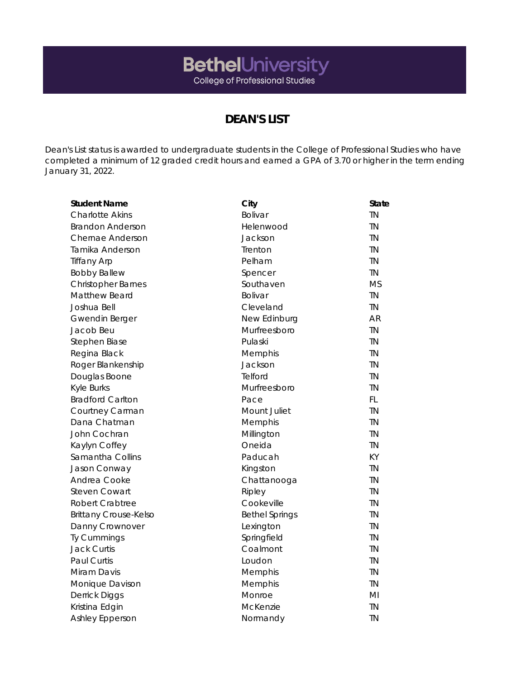## **BethelUniversity**<br>College of Professional Studies

## **DEAN'S LIST**

Dean's List status is awarded to undergraduate students in the College of Professional Studies who have completed a minimum of 12 graded credit hours and earned a GPA of 3.70 or higher in the term ending January 31, 2022.

| <b>Student Name</b>          | City                  | <b>State</b> |
|------------------------------|-----------------------|--------------|
| <b>Charlotte Akins</b>       | Bolivar               | <b>TN</b>    |
| <b>Brandon Anderson</b>      | Helenwood             | <b>TN</b>    |
| Chernae Anderson             | Jackson               | <b>TN</b>    |
| Tamika Anderson              | Trenton               | <b>TN</b>    |
| <b>Tiffany Arp</b>           | Pelham                | <b>TN</b>    |
| <b>Bobby Ballew</b>          | Spencer               | <b>TN</b>    |
| <b>Christopher Barnes</b>    | Southaven             | <b>MS</b>    |
| Matthew Beard                | Bolivar               | <b>TN</b>    |
| Joshua Bell                  | Cleveland             | <b>TN</b>    |
| <b>Gwendin Berger</b>        | New Edinburg          | <b>AR</b>    |
| Jacob Beu                    | Murfreesboro          | <b>TN</b>    |
| Stephen Biase                | Pulaski               | <b>TN</b>    |
| Regina Black                 | Memphis               | <b>TN</b>    |
| Roger Blankenship            | Jackson               | <b>TN</b>    |
| Douglas Boone                | Telford               | <b>TN</b>    |
| <b>Kyle Burks</b>            | Murfreesboro          | <b>TN</b>    |
| <b>Bradford Carlton</b>      | Pace                  | FL.          |
| Courtney Carman              | Mount Juliet          | <b>TN</b>    |
| Dana Chatman                 | Memphis               | <b>TN</b>    |
| John Cochran                 | Millington            | <b>TN</b>    |
| Kaylyn Coffey                | Oneida                | <b>TN</b>    |
| Samantha Collins             | Paducah               | KY           |
| Jason Conway                 | Kingston              | <b>TN</b>    |
| Andrea Cooke                 | Chattanooga           | <b>TN</b>    |
| <b>Steven Cowart</b>         | Ripley                | <b>TN</b>    |
| Robert Crabtree              | Cookeville            | <b>TN</b>    |
| <b>Brittany Crouse-Kelso</b> | <b>Bethel Springs</b> | <b>TN</b>    |
| Danny Crownover              | Lexington             | <b>TN</b>    |
| Ty Cummings                  | Springfield           | <b>TN</b>    |
| <b>Jack Curtis</b>           | Coalmont              | <b>TN</b>    |
| <b>Paul Curtis</b>           | Loudon                | <b>TN</b>    |
| Miram Davis                  | Memphis               | <b>TN</b>    |
| Monique Davison              | Memphis               | <b>TN</b>    |
| Derrick Diggs                | Monroe                | MI           |
| Kristina Edgin               | McKenzie              | TN           |
| <b>Ashley Epperson</b>       | Normandy              | <b>TN</b>    |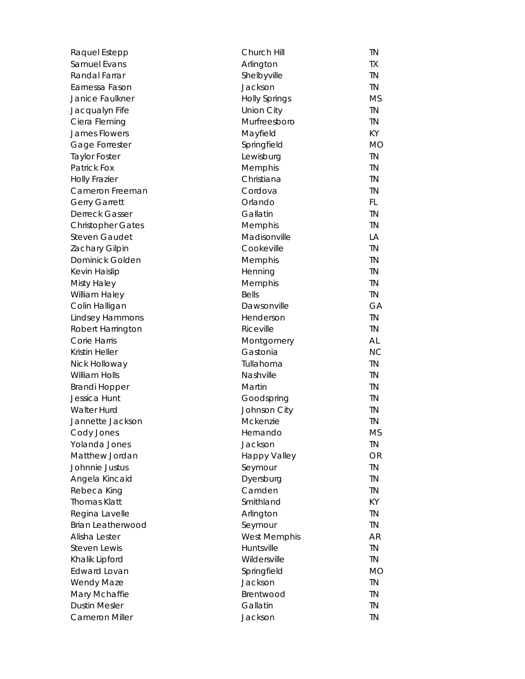| Raquel Estepp            | Church Hill          | <b>TN</b> |
|--------------------------|----------------------|-----------|
| Samuel Evans             | Arlington            | TX        |
| Randal Farrar            | Shelbyville          | <b>TN</b> |
| Earnessa Fason           | Jackson              | <b>TN</b> |
| Janice Faulkner          | <b>Holly Springs</b> | <b>MS</b> |
| Jacqualyn Fife           | Union City           | <b>TN</b> |
| Ciera Fleming            | Murfreesboro         | <b>TN</b> |
| <b>James Flowers</b>     | Mayfield             | KY        |
| Gage Forrester           | Springfield          | <b>MO</b> |
| <b>Taylor Foster</b>     | Lewisburg            | <b>TN</b> |
| <b>Patrick Fox</b>       | Memphis              | <b>TN</b> |
| <b>Holly Frazier</b>     | Christiana           | <b>TN</b> |
| Cameron Freeman          | Cordova              | <b>TN</b> |
| <b>Gerry Garrett</b>     | Orlando              | FL.       |
| Derreck Gasser           | Gallatin             | <b>TN</b> |
| <b>Christopher Gates</b> | Memphis              | <b>TN</b> |
| <b>Steven Gaudet</b>     | Madisonville         | LA        |
| Zachary Gilpin           | Cookeville           | <b>TN</b> |
| Dominick Golden          | Memphis              | <b>TN</b> |
| Kevin Haislip            | Henning              | <b>TN</b> |
| <b>Misty Haley</b>       | Memphis              | <b>TN</b> |
| William Haley            | <b>Bells</b>         | <b>TN</b> |
| Colin Halligan           | Dawsonville          | GA        |
| Lindsey Hammons          | Henderson            | <b>TN</b> |
| Robert Harrington        | Riceville            | TN        |
| Corie Harris             | Montgomery           | AL        |
| Kristin Heller           | Gastonia             | <b>NC</b> |
| Nick Holloway            | Tullahoma            | <b>TN</b> |
| <b>William Holls</b>     | Nashville            | <b>TN</b> |
| <b>Brandi Hopper</b>     | Martin               | <b>TN</b> |
| Jessica Hunt             | Goodspring           | <b>TN</b> |
| <b>Walter Hurd</b>       | Johnson City         | <b>TN</b> |
| Jannette Jackson         | Mckenzie             | <b>TN</b> |
| Cody Jones               | Hernando             | <b>MS</b> |
| Yolanda Jones            | Jackson              | <b>TN</b> |
| Matthew Jordan           | <b>Happy Valley</b>  | OR        |
| Johnnie Justus           | Seymour              | <b>TN</b> |
| Angela Kincaid           | Dyersburg            | <b>TN</b> |
| Rebeca King              | Camden               | <b>TN</b> |
| <b>Thomas Klatt</b>      | Smithland            | KY        |
| Regina Lavelle           | Arlington            | TN        |
| Brian Leatherwood        | Seymour              | <b>TN</b> |
| Alisha Lester            | <b>West Memphis</b>  | <b>AR</b> |
| <b>Steven Lewis</b>      | Huntsville           | <b>TN</b> |
| Khalik Lipford           | Wildersville         | <b>TN</b> |
| <b>Edward Lovan</b>      | Springfield          | <b>MO</b> |
| Wendy Maze               | Jackson              | <b>TN</b> |
| Mary Mchaffie            | Brentwood            | <b>TN</b> |
| <b>Dustin Mesler</b>     | Gallatin             | <b>TN</b> |
| Cameron Miller           | Jackson              | <b>TN</b> |
|                          |                      |           |